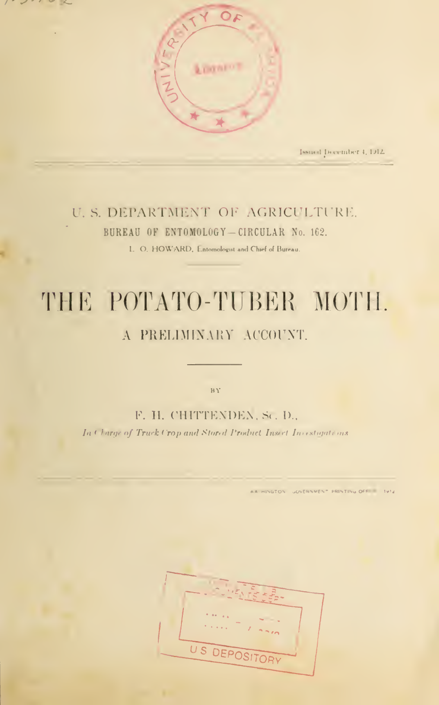

 $\bar{z}$ 



Issued December 4, 1912.

### U. S. DEPARTMENT OF AGRICULTURE. BUREAU OF ENTOMOLOGY-CIRCULAR No. 162.

L. O. HOWARD, Entomologist and Chief of Bureau.

# THE POTATO-TUBER MOTH.

## A PRELIMINARY ACCOUNT.

 $\overline{\text{B}\, \text{Y}}$ 

F. H. CHITTENDEN, Sc. D.,

In Charge of Truck Crop and Stored Product Insect Investigations

AA HINGTON GOVERNMENT PRINTING OFF 1912

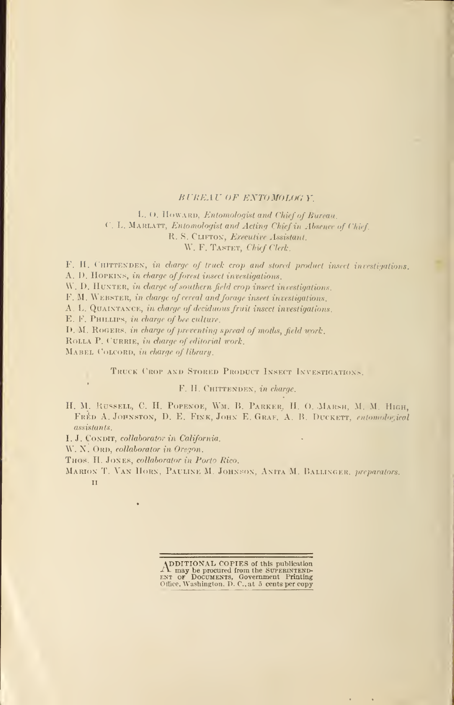#### BUREAU OF ENTOMOLOG V.

L. O. HOWARD, Entomologist and Chief of Bureau. C. L. Marlatt, Entomologist and Acting Chief in Absence of Chief R. S. CLIFTON, Executive Assistant. W. F. TASTET, Chief Clerk.

F. H. CHITTENDEN, in charge of truck crop and stored product insect investigations. A. D. HOPKINS, in charge of forest insect investigations.

W. D. HUNTER, in charge of southern field crop insect investigations.

F. M. WEBSTER, in charge of cereal and forage inseet investigations.

A. L. QUAINTANCE, in charge of deciduous fruit insect investigations.

E. F. PHILLIPS, in charge of bee culture.

D. M. ROGERS, in charge of preventing spread of moths, field work.

ROLLA P. CURRIE, in charge of editorial work.

MABEL COLCORD, in charge of library.

TRUCK ('ROP AND STORED PRODUCT INSECT INVESTIGATIONS.

F. H. CHITTENDEN, in charge.

II. M. Russell, C. H. Popenoe, Wm. B. Parker, II. 0. Marsh, M. M. High, FRED A. JOHNSTON, D. E. FINK, JOHN E. GRAF, A. B. DUCKETT, entomological assistants.

I.J. CONDIT, collaborator in California.

W. N. ORD, collaborator in Oregon.

THOS. II. JONES, collaborator in Porto Rico.

MARION T. VAN HORN, PAULINE M. JOHNSON, ANITA M. BALLINGER, preparators. ii

ADDITIONAL COPIES of this publication<br>ENT or Documents, Government Printing<br>Office. Washington. D. C., at 5 cents per copy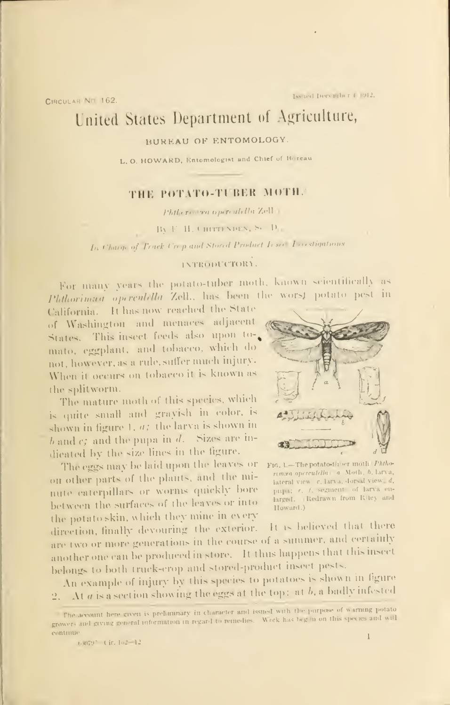CIRCULAR NE 162

# United States Department of Agriculture,

#### BUREAU OF ENTOMOLOGY.

L. O. HOWARD, Entomologist and Chief of Boreau

#### THE POTATO-TUBER MOTH.

Phileri va operatella Zell

By F. H. CHITTENDEN, S. D.

In Charge of Truck Crep and Stored Product Insee Treestigations

#### INTRODUCTORY.

For many years the potato-tuber moth, known scientifically as Phthorimaa operculella Zell., has been the worst potato pest in

California. It has now reached the State of Washington and menaces adjacent States. This insect feeds also upon tomato, eggplant, and tobacco, which do not, however, as a rule, suffer much injury. When it occurs on tobacco it is known as the splitworm.

The mature moth of this species, which is quite small and gravish in color, is shown in figure 1,  $a$ ; the larva is shown in  $b$  and  $c$ ; and the pupa in  $d$ . Sizes are indicated by the size lines in the figure.

The eggs may be laid upon the leaves or F16, 1-The potato-ther moth Phthoon other parts of the plants, and the minute caterpillars or worms quickly bore between the surfaces of the leaves or into the potato skin, which they mine in every



rimira opercutella | a Moth, b, larva, lateral view c, larva, dorsal view d, pup); e, f, segment of larva enlarged. Redrawn from Riley and Howard.)

It is believed that there direction, finally devouring the exterior. are two or more generations in the course of a summer, and certainly another one can be produced in store. It thus happens that this insect belongs to both truck-erop and stored-product insect pests.

An example of injury by this species to potatoes is shown in figure 2. At a is a section showing the eggs at the top: at b, a badly infested

The account here given is preliminary in character and issued with the purpose of warning potato growers and giving general information in regard to remedies. Work has beg in on this species and will continue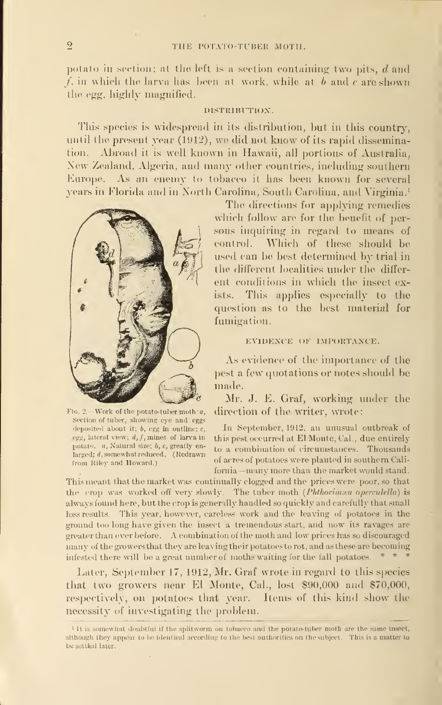#### THE POTATO-TUBER MOTH.

potato in section; at the left is a section containing two pits,  $d$  and  $/$ , in which the larva has been at work, while at  $b$  and  $c$  are shown the egg, highly magnified.

#### DISTRIBUTION.

This species is widespread in its distribution, but in this country, until the present year (1912), we did not know of its rapid dissemination. Abroad it is well known in Hawaii, all portions of Australia, New Zealand. Algeria, and many other countries, including southern Europe. As an enemy to tobacco it has been known for several years in Florida and in North Carolina, South Carolina, and Virginia. <sup>1</sup>



Section of tuber, showing eye and eggs deposited about it;  $b$ , egg in outline;  $c$ , potato. a, Natural size; b, c, greatly enlarged; d, somewhat reduced. (Redrawn from Riley and Howard.)

The directions for applying remedies which follow are for the benefit of persons inquiring in regard to means of control. Which of these should be used can be best determined by trial in the different localities under the differ ent conditions in which the insect exists. This applies especially to the question as to the. best material for fumigation.

#### EVIDENCE OF IMPORTANCE.

As evidence of the importance of the pest a few quotations or notes should be made.

Mr. J. E. Graf, working under the F16. 2.-Work of the potato-tuber moth: a, direction of the writer, wrote:

In September, 1912, an unusual outbreak of egg, lateral view; d, f, mines of larva in this pest occurred at El Monte, Cal., due entirely to a combination of circumstances. Thousands of acres of potatoes were planted in southern Cali fornia—many more than the market would stand.

This meant that the market was continually clogged and the prices were poor, so that the crop was worked off very slowly. The tuber moth (Phthorimea operculella) is always found here, but the crop is generally handled so quickly and carefully that small loss results. This year, however, careless work and the leaving of potatoes in the ground too long have given the insect a tremendous start, and now its ravages are greater than ever before. A combination of the moth and low prices has so discouraged many of the growers that they are leaving their potatoes to rot, and as these are becoming infested there will be a great number of moths waiting for the fall potatoes.  $* *$ 

Later, September 17, 1912, Mr. Graf wrote in regard to this species that two growers near El Monte, Cal., lost  $$90,000$  and  $$70,000$ , respectively, on potatoes that year. Items of this kind show the necessity of investigating the problem.

<sup>&</sup>lt;sup>1</sup> It is somewhat doubtful if the splitworm on tobacco and the potato-tuber moth are the same insect, although they appear to be identical according to the best authorities on the subject. This is a matter to be settled later.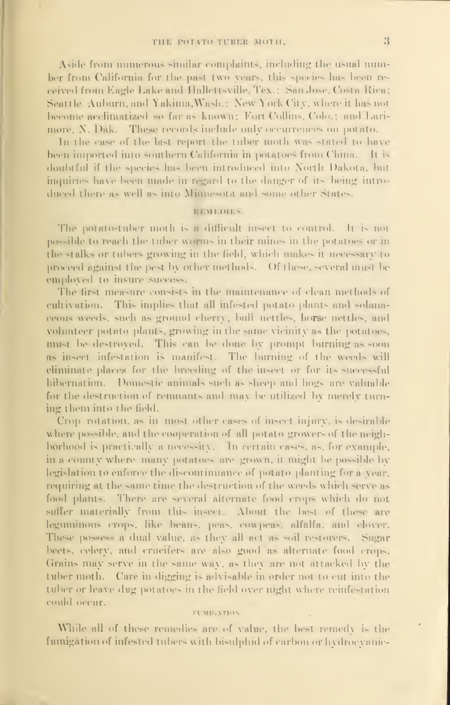Aside from numerous similar complaints, including the usual number from California for the past two years, this species has been received from Eagle Lake and Hallettsville, Tex.; San Jose, Costa Rica; Seattle Auburn, and Yakima, Wash.; New York City, where it has not become acclimatized so far as known; Fort Collins, Colo.; and Larimore, N. Dak. These records include only occurrences on potato.

In the case of the last report the tuber moth was stated to have been imported into southern California in potatoes from China. It is doubtful if the species has been introduced into North Dakota, but inquiries have been made in regard to the danger of its being introduced there as well as into Minnesota and some other States.

#### REMEDIES.

The potato-tuber moth is a difficult insect to control. It is not possible to reach the tuber worms in their mines in the potatoes or in the stalks or tubers growing in the field, which makes it necessary to proceed against the pest by other methods. Of these, several must be employed to insure success.

The first measure consists in the maintenance of clean methods of cultivation. This implies that all infested potato plants and solanaceons weeds, such as ground cherry, bull nettles, horse nettles, and volunteer potato plants, growing in the same vicinity as the potatoes. must be destroyed. This can be done by prompt burning as soon as insect infestation is manifest. The burning of the weeds will eliminate places for the breeding of the insect or for its successful hibernation. Domestic animals such as sheep and hogs are valuable for the destruction of remnants and may be utilized by merely turning them into the field.

Crop rotation, as in most other cases of insect injury, is desirable where possible, and the cooperation of all potato growers of the neighborhood is practically a necessity. In certain cases, as, for example, in a county where many potatoes are grown, it might be possible by legislation to enforce the discontinuance of potato-planting for a year, requiring at the same time the destruction of the weeds which serve as food plants. There are several alternate food crops which do not suffer materially from this insect. About the best of these are leguminous crops, like beans, peas, cowpeas, alfalfa, and clover. These possess a dual value, as they all act as soil restorers. Sugar beets, celery, and crucifers are also good as alternate food crops. Grains may serve in the same way, as they are not attacked by the tuber moth. Care in digging is advisable in order not to cut into the tuber or leave dug potatoes in the field over night where reinfestation could occur.

#### **FUMIGATION**

While all of these remedies are of value, the best remedy is the fumigation of infested tubers with bisulphid of carbon or hydrocyanic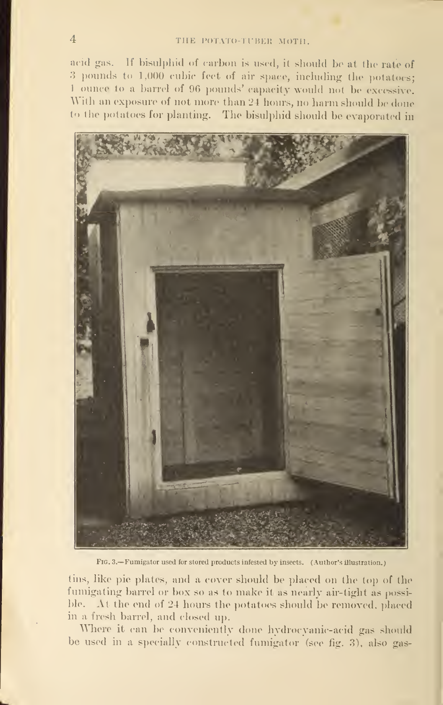acid gas. If bisulphid of carbon is used, it should be at the rate of <sup>3</sup> pounds to 1,000 cubic feel of air space, including the potatoes; <sup>1</sup> ounce to a barrel of 96 pounds' capacity would not be excessive. With an exposure of not more than 24 hours, no harm should be done to the potatoes for planting. The bisulphid should be evaporated in



Fig. 3.—Fumigator used for stored products infested by insects. (Author's illustration.

tins, like pie plates, and a cover should be placed on the top of the fumigating barrel or box so as to make it as nearly air-tight as possible. At the end of 24 hours the potatoes should be removed, placed in <sup>a</sup> fresh barrel, and closed up.

Where it can be conveniently done hydrocyanic-acid gas should be used in a specially constructed fumigator (see fig. 3), also gas-